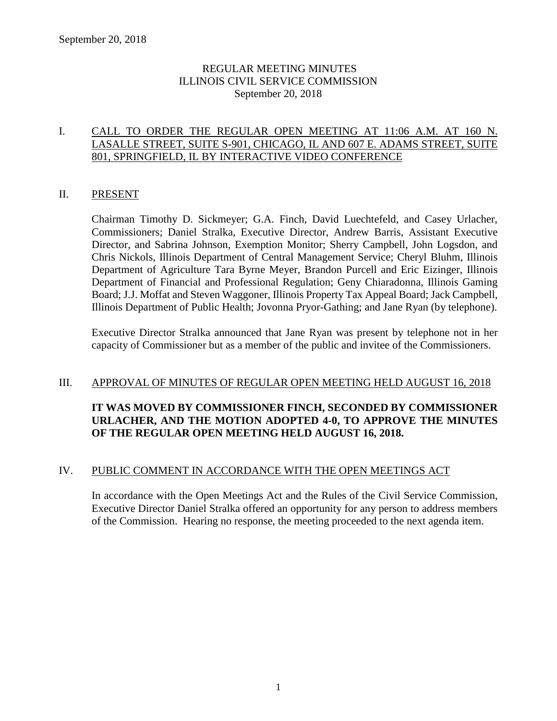## REGULAR MEETING MINUTES ILLINOIS CIVIL SERVICE COMMISSION September 20, 2018

## I. CALL TO ORDER THE REGULAR OPEN MEETING AT 11:06 A.M. AT 160 N. LASALLE STREET, SUITE S-901, CHICAGO, IL AND 607 E. ADAMS STREET, SUITE 801, SPRINGFIELD, IL BY INTERACTIVE VIDEO CONFERENCE

#### II. PRESENT

Chairman Timothy D. Sickmeyer; G.A. Finch, David Luechtefeld, and Casey Urlacher, Commissioners; Daniel Stralka, Executive Director, Andrew Barris, Assistant Executive Director, and Sabrina Johnson, Exemption Monitor; Sherry Campbell, John Logsdon, and Chris Nickols, Illinois Department of Central Management Service; Cheryl Bluhm, Illinois Department of Agriculture Tara Byrne Meyer, Brandon Purcell and Eric Eizinger, Illinois Department of Financial and Professional Regulation; Geny Chiaradonna, Illinois Gaming Board; J.J. Moffat and Steven Waggoner, Illinois Property Tax Appeal Board; Jack Campbell, Illinois Department of Public Health; Jovonna Pryor-Gathing; and Jane Ryan (by telephone).

Executive Director Stralka announced that Jane Ryan was present by telephone not in her capacity of Commissioner but as a member of the public and invitee of the Commissioners.

#### III. APPROVAL OF MINUTES OF REGULAR OPEN MEETING HELD AUGUST 16, 2018

## **IT WAS MOVED BY COMMISSIONER FINCH, SECONDED BY COMMISSIONER URLACHER, AND THE MOTION ADOPTED 4-0, TO APPROVE THE MINUTES OF THE REGULAR OPEN MEETING HELD AUGUST 16, 2018.**

#### IV. PUBLIC COMMENT IN ACCORDANCE WITH THE OPEN MEETINGS ACT

In accordance with the Open Meetings Act and the Rules of the Civil Service Commission, Executive Director Daniel Stralka offered an opportunity for any person to address members of the Commission. Hearing no response, the meeting proceeded to the next agenda item.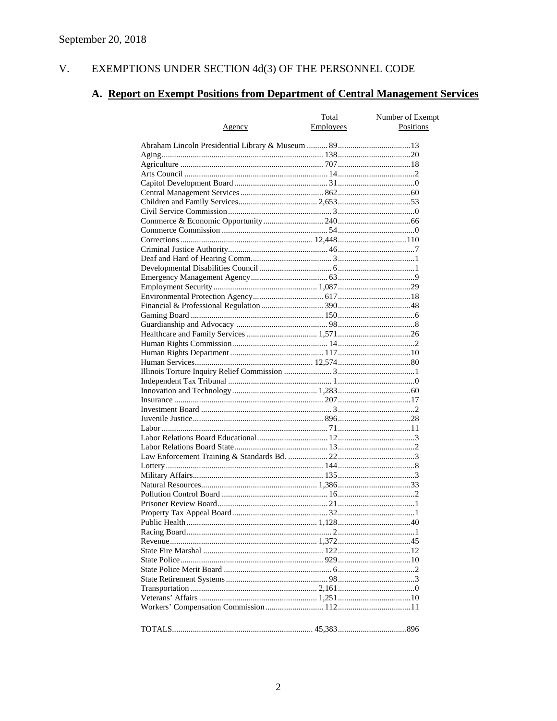#### $V<sub>r</sub>$ EXEMPTIONS UNDER SECTION  $4d(3)$  OF THE PERSONNEL CODE

# A. Report on Exempt Positions from Department of Central Management Services

|        | Total     | Number of Exempt |
|--------|-----------|------------------|
| Agency | Employees | Positions        |
|        |           |                  |
|        |           |                  |
|        |           |                  |
|        |           |                  |
|        |           |                  |
|        |           |                  |
|        |           |                  |
|        |           |                  |
|        |           |                  |
|        |           |                  |
|        |           |                  |
|        |           |                  |
|        |           |                  |
|        |           |                  |
|        |           |                  |
|        |           |                  |
|        |           |                  |
|        |           |                  |
|        |           |                  |
|        |           |                  |
|        |           |                  |
|        |           |                  |
|        |           |                  |
|        |           |                  |
|        |           |                  |
|        |           |                  |
|        |           |                  |
|        |           |                  |
|        |           |                  |
|        |           |                  |
|        |           |                  |
|        |           |                  |
|        |           |                  |
|        |           |                  |
|        |           |                  |
|        |           |                  |
|        |           |                  |
|        |           |                  |
|        |           |                  |
|        |           |                  |
|        |           |                  |
|        |           |                  |
|        |           |                  |
|        |           |                  |
|        |           |                  |
|        |           |                  |
|        |           |                  |
|        |           |                  |
|        |           |                  |
|        |           |                  |
|        |           |                  |
|        |           |                  |
|        |           |                  |
|        |           |                  |
|        |           |                  |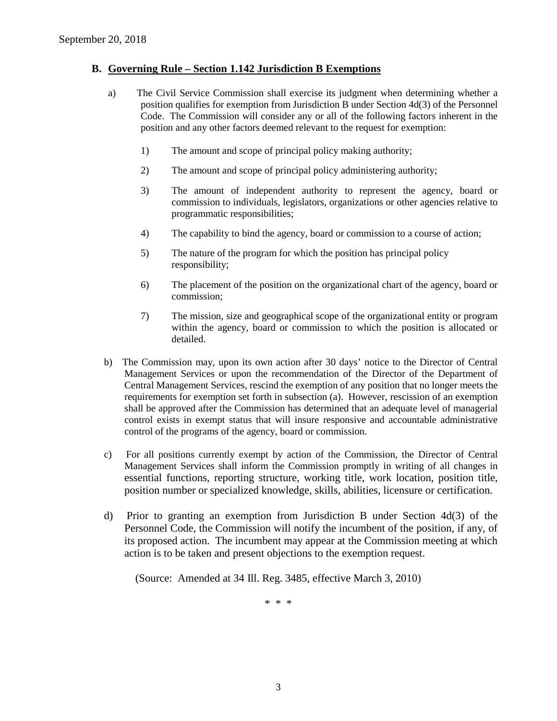### **B. Governing Rule – Section 1.142 Jurisdiction B Exemptions**

- a) The Civil Service Commission shall exercise its judgment when determining whether a position qualifies for exemption from Jurisdiction B under Section 4d(3) of the Personnel Code. The Commission will consider any or all of the following factors inherent in the position and any other factors deemed relevant to the request for exemption:
	- 1) The amount and scope of principal policy making authority;
	- 2) The amount and scope of principal policy administering authority;
	- 3) The amount of independent authority to represent the agency, board or commission to individuals, legislators, organizations or other agencies relative to programmatic responsibilities;
	- 4) The capability to bind the agency, board or commission to a course of action;
	- 5) The nature of the program for which the position has principal policy responsibility;
	- 6) The placement of the position on the organizational chart of the agency, board or commission;
	- 7) The mission, size and geographical scope of the organizational entity or program within the agency, board or commission to which the position is allocated or detailed.
- b) The Commission may, upon its own action after 30 days' notice to the Director of Central Management Services or upon the recommendation of the Director of the Department of Central Management Services, rescind the exemption of any position that no longer meets the requirements for exemption set forth in subsection (a). However, rescission of an exemption shall be approved after the Commission has determined that an adequate level of managerial control exists in exempt status that will insure responsive and accountable administrative control of the programs of the agency, board or commission.
- c) For all positions currently exempt by action of the Commission, the Director of Central Management Services shall inform the Commission promptly in writing of all changes in essential functions, reporting structure, working title, work location, position title, position number or specialized knowledge, skills, abilities, licensure or certification.
- d) Prior to granting an exemption from Jurisdiction B under Section 4d(3) of the Personnel Code, the Commission will notify the incumbent of the position, if any, of its proposed action. The incumbent may appear at the Commission meeting at which action is to be taken and present objections to the exemption request.

(Source: Amended at 34 Ill. Reg. 3485, effective March 3, 2010)

\* \* \*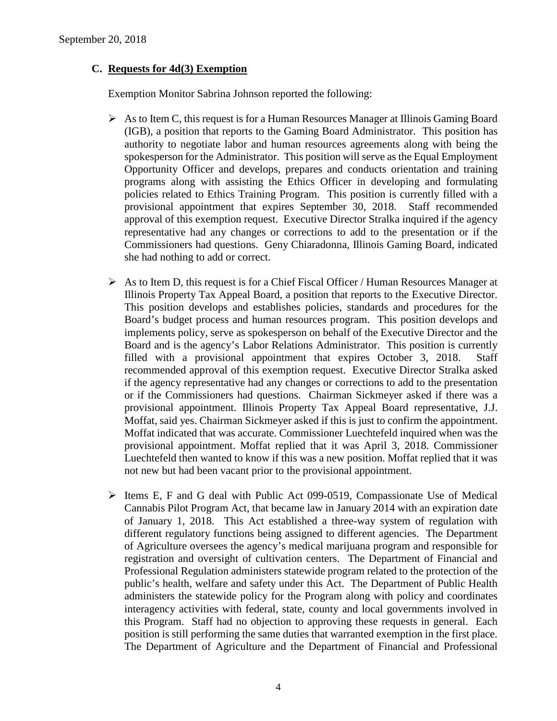## **C. Requests for 4d(3) Exemption**

Exemption Monitor Sabrina Johnson reported the following:

- $\triangleright$  As to Item C, this request is for a Human Resources Manager at Illinois Gaming Board (IGB), a position that reports to the Gaming Board Administrator. This position has authority to negotiate labor and human resources agreements along with being the spokesperson for the Administrator. This position will serve as the Equal Employment Opportunity Officer and develops, prepares and conducts orientation and training programs along with assisting the Ethics Officer in developing and formulating policies related to Ethics Training Program. This position is currently filled with a provisional appointment that expires September 30, 2018. Staff recommended approval of this exemption request. Executive Director Stralka inquired if the agency representative had any changes or corrections to add to the presentation or if the Commissioners had questions. Geny Chiaradonna, Illinois Gaming Board, indicated she had nothing to add or correct.
- $\triangleright$  As to Item D, this request is for a Chief Fiscal Officer / Human Resources Manager at Illinois Property Tax Appeal Board, a position that reports to the Executive Director. This position develops and establishes policies, standards and procedures for the Board's budget process and human resources program. This position develops and implements policy, serve as spokesperson on behalf of the Executive Director and the Board and is the agency's Labor Relations Administrator. This position is currently filled with a provisional appointment that expires October 3, 2018. Staff recommended approval of this exemption request. Executive Director Stralka asked if the agency representative had any changes or corrections to add to the presentation or if the Commissioners had questions. Chairman Sickmeyer asked if there was a provisional appointment. Illinois Property Tax Appeal Board representative, J.J. Moffat, said yes. Chairman Sickmeyer asked if this is just to confirm the appointment. Moffat indicated that was accurate. Commissioner Luechtefeld inquired when was the provisional appointment. Moffat replied that it was April 3, 2018. Commissioner Luechtefeld then wanted to know if this was a new position. Moffat replied that it was not new but had been vacant prior to the provisional appointment.
- Items E, F and G deal with Public Act 099-0519, Compassionate Use of Medical Cannabis Pilot Program Act, that became law in January 2014 with an expiration date of January 1, 2018. This Act established a three-way system of regulation with different regulatory functions being assigned to different agencies. The Department of Agriculture oversees the agency's medical marijuana program and responsible for registration and oversight of cultivation centers. The Department of Financial and Professional Regulation administers statewide program related to the protection of the public's health, welfare and safety under this Act. The Department of Public Health administers the statewide policy for the Program along with policy and coordinates interagency activities with federal, state, county and local governments involved in this Program. Staff had no objection to approving these requests in general. Each position is still performing the same duties that warranted exemption in the first place. The Department of Agriculture and the Department of Financial and Professional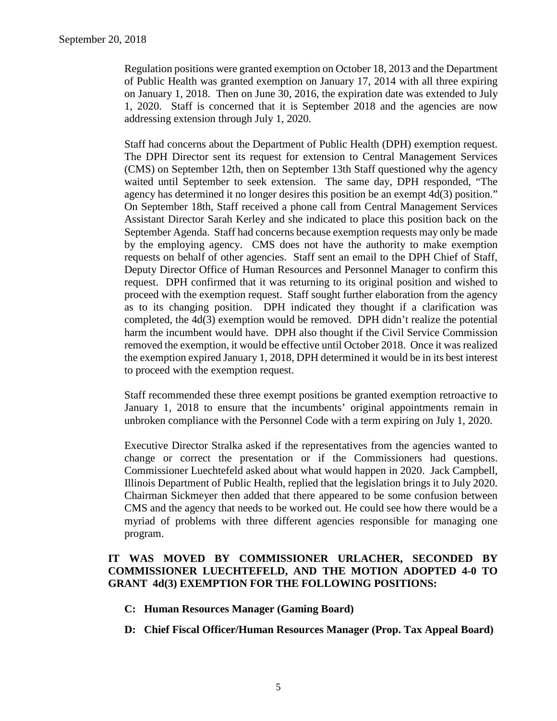Regulation positions were granted exemption on October 18, 2013 and the Department of Public Health was granted exemption on January 17, 2014 with all three expiring on January 1, 2018. Then on June 30, 2016, the expiration date was extended to July 1, 2020. Staff is concerned that it is September 2018 and the agencies are now addressing extension through July 1, 2020.

Staff had concerns about the Department of Public Health (DPH) exemption request. The DPH Director sent its request for extension to Central Management Services (CMS) on September 12th, then on September 13th Staff questioned why the agency waited until September to seek extension. The same day, DPH responded, "The agency has determined it no longer desires this position be an exempt 4d(3) position." On September 18th, Staff received a phone call from Central Management Services Assistant Director Sarah Kerley and she indicated to place this position back on the September Agenda. Staff had concerns because exemption requests may only be made by the employing agency. CMS does not have the authority to make exemption requests on behalf of other agencies. Staff sent an email to the DPH Chief of Staff, Deputy Director Office of Human Resources and Personnel Manager to confirm this request. DPH confirmed that it was returning to its original position and wished to proceed with the exemption request. Staff sought further elaboration from the agency as to its changing position. DPH indicated they thought if a clarification was completed, the 4d(3) exemption would be removed. DPH didn't realize the potential harm the incumbent would have. DPH also thought if the Civil Service Commission removed the exemption, it would be effective until October 2018. Once it was realized the exemption expired January 1, 2018, DPH determined it would be in its best interest to proceed with the exemption request.

Staff recommended these three exempt positions be granted exemption retroactive to January 1, 2018 to ensure that the incumbents' original appointments remain in unbroken compliance with the Personnel Code with a term expiring on July 1, 2020.

Executive Director Stralka asked if the representatives from the agencies wanted to change or correct the presentation or if the Commissioners had questions. Commissioner Luechtefeld asked about what would happen in 2020. Jack Campbell, Illinois Department of Public Health, replied that the legislation brings it to July 2020. Chairman Sickmeyer then added that there appeared to be some confusion between CMS and the agency that needs to be worked out. He could see how there would be a myriad of problems with three different agencies responsible for managing one program.

## **IT WAS MOVED BY COMMISSIONER URLACHER, SECONDED BY COMMISSIONER LUECHTEFELD, AND THE MOTION ADOPTED 4-0 TO GRANT 4d(3) EXEMPTION FOR THE FOLLOWING POSITIONS:**

- **C: Human Resources Manager (Gaming Board)**
- **D: Chief Fiscal Officer/Human Resources Manager (Prop. Tax Appeal Board)**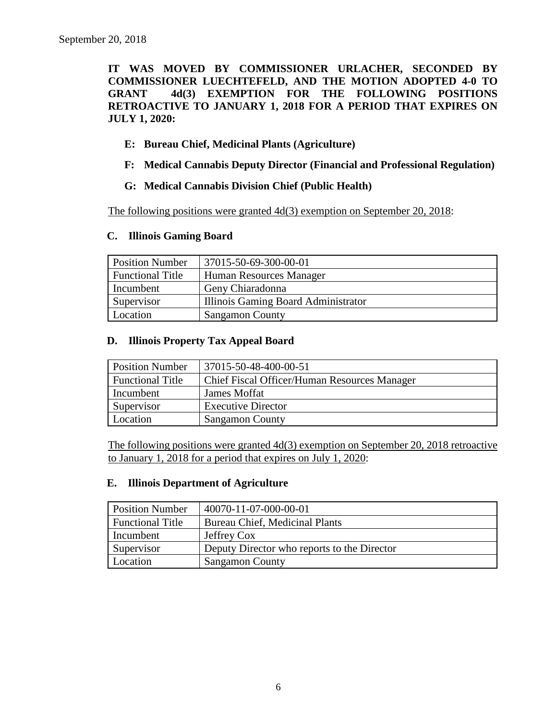**IT WAS MOVED BY COMMISSIONER URLACHER, SECONDED BY COMMISSIONER LUECHTEFELD, AND THE MOTION ADOPTED 4-0 TO GRANT 4d(3) EXEMPTION FOR THE FOLLOWING POSITIONS RETROACTIVE TO JANUARY 1, 2018 FOR A PERIOD THAT EXPIRES ON JULY 1, 2020:**

## **E: Bureau Chief, Medicinal Plants (Agriculture)**

**F: Medical Cannabis Deputy Director (Financial and Professional Regulation)**

### **G: Medical Cannabis Division Chief (Public Health)**

The following positions were granted 4d(3) exemption on September 20, 2018:

#### **C. Illinois Gaming Board**

| <b>Position Number</b>  | 37015-50-69-300-00-01               |
|-------------------------|-------------------------------------|
| <b>Functional Title</b> | Human Resources Manager             |
| Incumbent               | Geny Chiaradonna                    |
| Supervisor              | Illinois Gaming Board Administrator |
| Location                | <b>Sangamon County</b>              |

#### **D. Illinois Property Tax Appeal Board**

| <b>Position Number</b>  | 37015-50-48-400-00-51                        |
|-------------------------|----------------------------------------------|
| <b>Functional Title</b> | Chief Fiscal Officer/Human Resources Manager |
| Incumbent               | James Moffat                                 |
| Supervisor              | <b>Executive Director</b>                    |
| Location                | <b>Sangamon County</b>                       |

The following positions were granted 4d(3) exemption on September 20, 2018 retroactive to January 1, 2018 for a period that expires on July 1, 2020:

#### **E. Illinois Department of Agriculture**

| <b>Position Number</b>  | 40070-11-07-000-00-01                       |
|-------------------------|---------------------------------------------|
| <b>Functional Title</b> | <b>Bureau Chief, Medicinal Plants</b>       |
| Incumbent               | Jeffrey Cox                                 |
| Supervisor              | Deputy Director who reports to the Director |
| Location                | <b>Sangamon County</b>                      |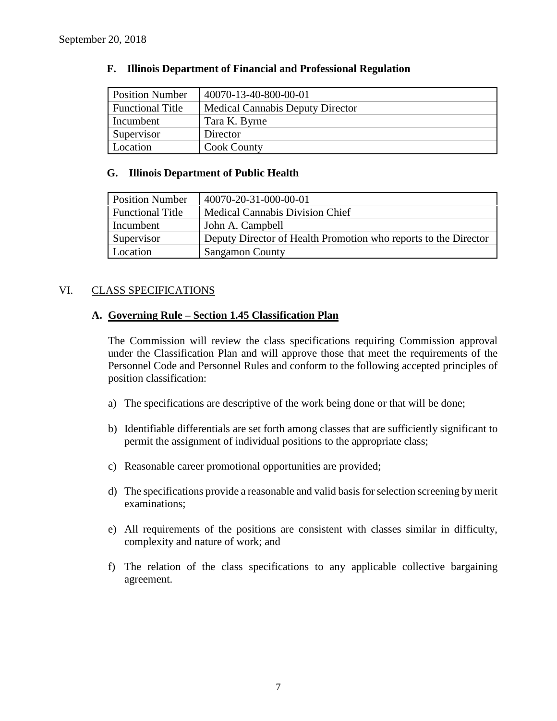| <b>Position Number</b>  | 40070-13-40-800-00-01                   |
|-------------------------|-----------------------------------------|
| <b>Functional Title</b> | <b>Medical Cannabis Deputy Director</b> |
| Incumbent               | Tara K. Byrne                           |
| Supervisor              | Director                                |
| Location                | <b>Cook County</b>                      |

#### **F. Illinois Department of Financial and Professional Regulation**

#### **G. Illinois Department of Public Health**

| <b>Position Number</b>  | 40070-20-31-000-00-01                                           |
|-------------------------|-----------------------------------------------------------------|
| <b>Functional Title</b> | <b>Medical Cannabis Division Chief</b>                          |
| Incumbent               | John A. Campbell                                                |
| Supervisor              | Deputy Director of Health Promotion who reports to the Director |
| Location                | <b>Sangamon County</b>                                          |

#### VI. CLASS SPECIFICATIONS

#### **A. Governing Rule – Section 1.45 Classification Plan**

The Commission will review the class specifications requiring Commission approval under the Classification Plan and will approve those that meet the requirements of the Personnel Code and Personnel Rules and conform to the following accepted principles of position classification:

- a) The specifications are descriptive of the work being done or that will be done;
- b) Identifiable differentials are set forth among classes that are sufficiently significant to permit the assignment of individual positions to the appropriate class;
- c) Reasonable career promotional opportunities are provided;
- d) The specifications provide a reasonable and valid basis for selection screening by merit examinations;
- e) All requirements of the positions are consistent with classes similar in difficulty, complexity and nature of work; and
- f) The relation of the class specifications to any applicable collective bargaining agreement.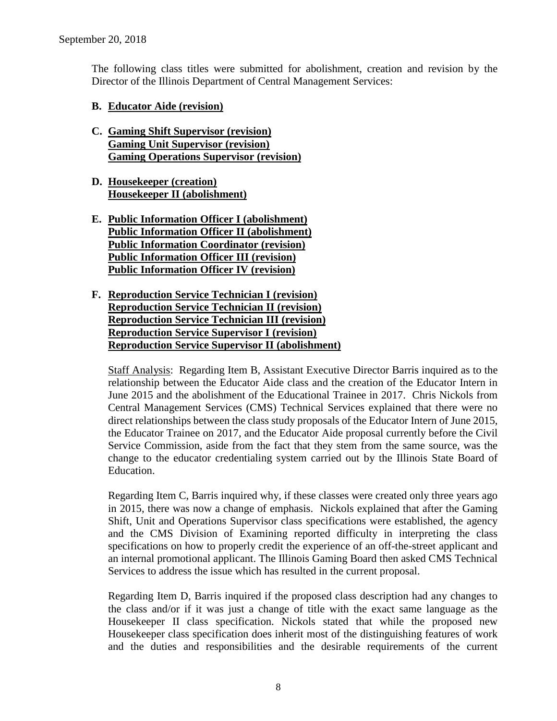The following class titles were submitted for abolishment, creation and revision by the Director of the Illinois Department of Central Management Services:

### **B. Educator Aide (revision)**

- **C. Gaming Shift Supervisor (revision) Gaming Unit Supervisor (revision) Gaming Operations Supervisor (revision)**
- **D. Housekeeper (creation) Housekeeper II (abolishment)**
- **E. Public Information Officer I (abolishment) Public Information Officer II (abolishment) Public Information Coordinator (revision) Public Information Officer III (revision) Public Information Officer IV (revision)**
- **F. Reproduction Service Technician I (revision) Reproduction Service Technician II (revision) Reproduction Service Technician III (revision) Reproduction Service Supervisor I (revision) Reproduction Service Supervisor II (abolishment)**

Staff Analysis: Regarding Item B, Assistant Executive Director Barris inquired as to the relationship between the Educator Aide class and the creation of the Educator Intern in June 2015 and the abolishment of the Educational Trainee in 2017. Chris Nickols from Central Management Services (CMS) Technical Services explained that there were no direct relationships between the class study proposals of the Educator Intern of June 2015, the Educator Trainee on 2017, and the Educator Aide proposal currently before the Civil Service Commission, aside from the fact that they stem from the same source, was the change to the educator credentialing system carried out by the Illinois State Board of Education.

Regarding Item C, Barris inquired why, if these classes were created only three years ago in 2015, there was now a change of emphasis. Nickols explained that after the Gaming Shift, Unit and Operations Supervisor class specifications were established, the agency and the CMS Division of Examining reported difficulty in interpreting the class specifications on how to properly credit the experience of an off-the-street applicant and an internal promotional applicant. The Illinois Gaming Board then asked CMS Technical Services to address the issue which has resulted in the current proposal.

Regarding Item D, Barris inquired if the proposed class description had any changes to the class and/or if it was just a change of title with the exact same language as the Housekeeper II class specification. Nickols stated that while the proposed new Housekeeper class specification does inherit most of the distinguishing features of work and the duties and responsibilities and the desirable requirements of the current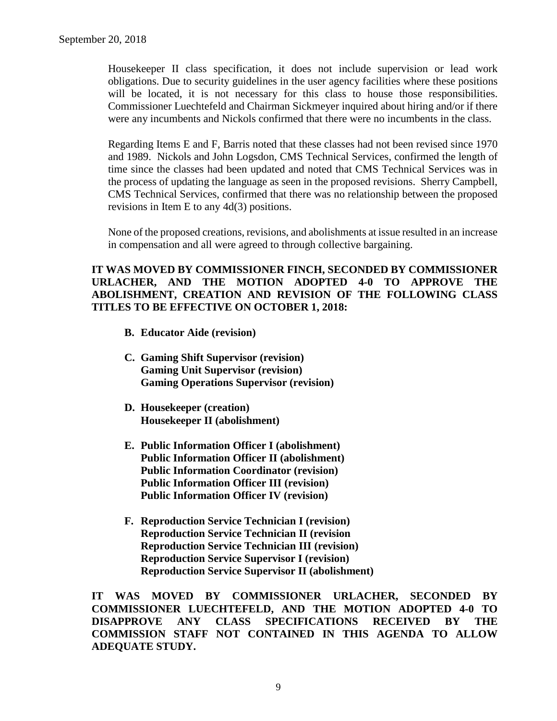Housekeeper II class specification, it does not include supervision or lead work obligations. Due to security guidelines in the user agency facilities where these positions will be located, it is not necessary for this class to house those responsibilities. Commissioner Luechtefeld and Chairman Sickmeyer inquired about hiring and/or if there were any incumbents and Nickols confirmed that there were no incumbents in the class.

Regarding Items E and F, Barris noted that these classes had not been revised since 1970 and 1989. Nickols and John Logsdon, CMS Technical Services, confirmed the length of time since the classes had been updated and noted that CMS Technical Services was in the process of updating the language as seen in the proposed revisions. Sherry Campbell, CMS Technical Services, confirmed that there was no relationship between the proposed revisions in Item E to any 4d(3) positions.

None of the proposed creations, revisions, and abolishments at issue resulted in an increase in compensation and all were agreed to through collective bargaining.

## **IT WAS MOVED BY COMMISSIONER FINCH, SECONDED BY COMMISSIONER URLACHER, AND THE MOTION ADOPTED 4-0 TO APPROVE THE ABOLISHMENT, CREATION AND REVISION OF THE FOLLOWING CLASS TITLES TO BE EFFECTIVE ON OCTOBER 1, 2018:**

- **B. Educator Aide (revision)**
- **C. Gaming Shift Supervisor (revision) Gaming Unit Supervisor (revision) Gaming Operations Supervisor (revision)**
- **D. Housekeeper (creation) Housekeeper II (abolishment)**
- **E. Public Information Officer I (abolishment) Public Information Officer II (abolishment) Public Information Coordinator (revision) Public Information Officer III (revision) Public Information Officer IV (revision)**
- **F. Reproduction Service Technician I (revision) Reproduction Service Technician II (revision Reproduction Service Technician III (revision) Reproduction Service Supervisor I (revision) Reproduction Service Supervisor II (abolishment)**

**IT WAS MOVED BY COMMISSIONER URLACHER, SECONDED BY COMMISSIONER LUECHTEFELD, AND THE MOTION ADOPTED 4-0 TO DISAPPROVE ANY CLASS SPECIFICATIONS RECEIVED BY THE COMMISSION STAFF NOT CONTAINED IN THIS AGENDA TO ALLOW ADEQUATE STUDY.**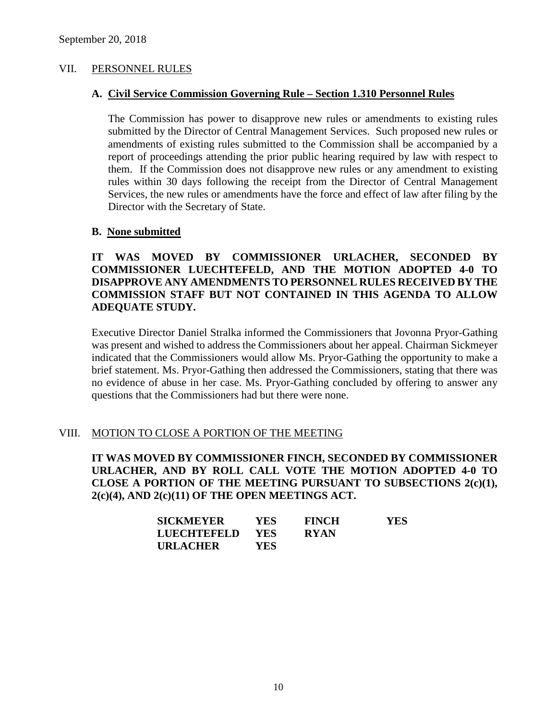#### VII. PERSONNEL RULES

#### **A. Civil Service Commission Governing Rule – Section 1.310 Personnel Rules**

The Commission has power to disapprove new rules or amendments to existing rules submitted by the Director of Central Management Services. Such proposed new rules or amendments of existing rules submitted to the Commission shall be accompanied by a report of proceedings attending the prior public hearing required by law with respect to them. If the Commission does not disapprove new rules or any amendment to existing rules within 30 days following the receipt from the Director of Central Management Services, the new rules or amendments have the force and effect of law after filing by the Director with the Secretary of State.

#### **B. None submitted**

## **IT WAS MOVED BY COMMISSIONER URLACHER, SECONDED BY COMMISSIONER LUECHTEFELD, AND THE MOTION ADOPTED 4-0 TO DISAPPROVE ANY AMENDMENTS TO PERSONNEL RULES RECEIVED BY THE COMMISSION STAFF BUT NOT CONTAINED IN THIS AGENDA TO ALLOW ADEQUATE STUDY.**

Executive Director Daniel Stralka informed the Commissioners that Jovonna Pryor-Gathing was present and wished to address the Commissioners about her appeal. Chairman Sickmeyer indicated that the Commissioners would allow Ms. Pryor-Gathing the opportunity to make a brief statement. Ms. Pryor-Gathing then addressed the Commissioners, stating that there was no evidence of abuse in her case. Ms. Pryor-Gathing concluded by offering to answer any questions that the Commissioners had but there were none.

#### VIII. MOTION TO CLOSE A PORTION OF THE MEETING

**IT WAS MOVED BY COMMISSIONER FINCH, SECONDED BY COMMISSIONER URLACHER, AND BY ROLL CALL VOTE THE MOTION ADOPTED 4-0 TO CLOSE A PORTION OF THE MEETING PURSUANT TO SUBSECTIONS 2(c)(1), 2(c)(4), AND 2(c)(11) OF THE OPEN MEETINGS ACT.**

| <b>SICKMEYER</b>   | YES.       | <b>FINCH</b> | YES |
|--------------------|------------|--------------|-----|
| <b>LUECHTEFELD</b> | <b>YES</b> | <b>RYAN</b>  |     |
| <b>URLACHER</b>    | YES        |              |     |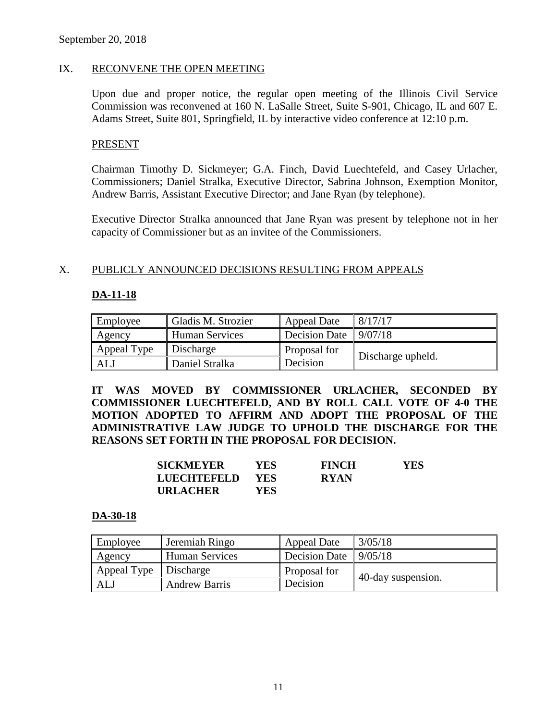### IX. RECONVENE THE OPEN MEETING

Upon due and proper notice, the regular open meeting of the Illinois Civil Service Commission was reconvened at 160 N. LaSalle Street, Suite S-901, Chicago, IL and 607 E. Adams Street, Suite 801, Springfield, IL by interactive video conference at 12:10 p.m.

#### PRESENT

Chairman Timothy D. Sickmeyer; G.A. Finch, David Luechtefeld, and Casey Urlacher, Commissioners; Daniel Stralka, Executive Director, Sabrina Johnson, Exemption Monitor, Andrew Barris, Assistant Executive Director; and Jane Ryan (by telephone).

Executive Director Stralka announced that Jane Ryan was present by telephone not in her capacity of Commissioner but as an invitee of the Commissioners.

### X. PUBLICLY ANNOUNCED DECISIONS RESULTING FROM APPEALS

## **DA-11-18**

| Employee    | Gladis M. Strozier    | Appeal Date             | 8/17/17           |
|-------------|-----------------------|-------------------------|-------------------|
| Agency      | <b>Human Services</b> | Decision Date $9/07/18$ |                   |
| Appeal Type | Discharge             | Proposal for            |                   |
| ALJ         | Daniel Stralka        | Decision                | Discharge upheld. |

**IT WAS MOVED BY COMMISSIONER URLACHER, SECONDED BY COMMISSIONER LUECHTEFELD, AND BY ROLL CALL VOTE OF 4-0 THE MOTION ADOPTED TO AFFIRM AND ADOPT THE PROPOSAL OF THE ADMINISTRATIVE LAW JUDGE TO UPHOLD THE DISCHARGE FOR THE REASONS SET FORTH IN THE PROPOSAL FOR DECISION.**

| <b>SICKMEYER</b> | YES.       | <b>FINCH</b> | YES |
|------------------|------------|--------------|-----|
| LUECHTEFELD      | <b>YES</b> | <b>RYAN</b>  |     |
| <b>URLACHER</b>  | YES.       |              |     |

#### **DA-30-18**

| Employee    | Jeremiah Ringo        | <b>Appeal Date</b> | 3/05/18            |
|-------------|-----------------------|--------------------|--------------------|
| Agency      | <b>Human Services</b> | Decision Date      | 9/05/18            |
| Appeal Type | Discharge             | Proposal for       |                    |
| ALJ         | <b>Andrew Barris</b>  | Decision           | 40-day suspension. |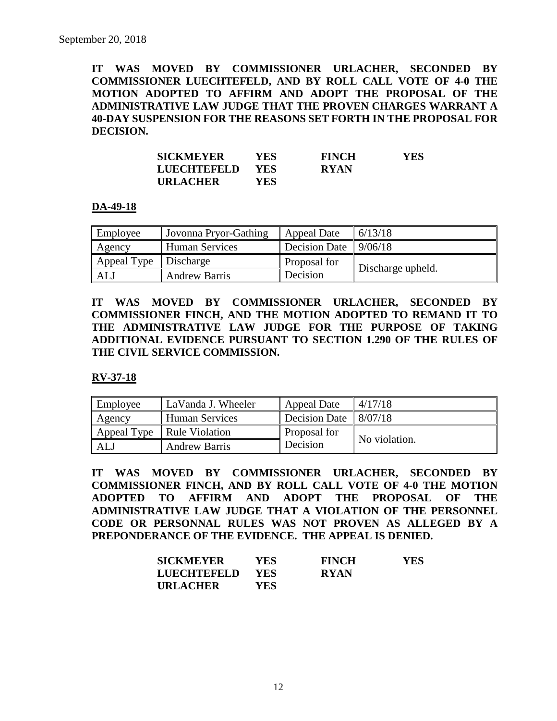**IT WAS MOVED BY COMMISSIONER URLACHER, SECONDED BY COMMISSIONER LUECHTEFELD, AND BY ROLL CALL VOTE OF 4-0 THE MOTION ADOPTED TO AFFIRM AND ADOPT THE PROPOSAL OF THE ADMINISTRATIVE LAW JUDGE THAT THE PROVEN CHARGES WARRANT A 40-DAY SUSPENSION FOR THE REASONS SET FORTH IN THE PROPOSAL FOR DECISION.**

| <b>SICKMEYER</b>   | YES        | <b>FINCH</b> | <b>YES</b> |
|--------------------|------------|--------------|------------|
| <b>LUECHTEFELD</b> | <b>YES</b> | <b>RYAN</b>  |            |
| <b>URLACHER</b>    | YES        |              |            |

#### **DA-49-18**

| Employee                | Jovonna Pryor-Gathing | Appeal Date          | 6/13/18           |
|-------------------------|-----------------------|----------------------|-------------------|
| Agency                  | <b>Human Services</b> | <b>Decision Date</b> | 9/06/18           |
| Appeal Type   Discharge |                       | Proposal for         |                   |
| ALJ                     | <b>Andrew Barris</b>  | Decision             | Discharge upheld. |

**IT WAS MOVED BY COMMISSIONER URLACHER, SECONDED BY COMMISSIONER FINCH, AND THE MOTION ADOPTED TO REMAND IT TO THE ADMINISTRATIVE LAW JUDGE FOR THE PURPOSE OF TAKING ADDITIONAL EVIDENCE PURSUANT TO SECTION 1.290 OF THE RULES OF THE CIVIL SERVICE COMMISSION.** 

## **RV-37-18**

| Employee    | LaVanda J. Wheeler    | Appeal Date   | 4/17/18       |
|-------------|-----------------------|---------------|---------------|
| Agency      | <b>Human Services</b> | Decision Date | 8/07/18       |
| Appeal Type | Rule Violation        | Proposal for  | No violation. |
| AL.         | <b>Andrew Barris</b>  | Decision      |               |

**IT WAS MOVED BY COMMISSIONER URLACHER, SECONDED BY COMMISSIONER FINCH, AND BY ROLL CALL VOTE OF 4-0 THE MOTION ADOPTED TO AFFIRM AND ADOPT THE PROPOSAL OF THE ADMINISTRATIVE LAW JUDGE THAT A VIOLATION OF THE PERSONNEL CODE OR PERSONNAL RULES WAS NOT PROVEN AS ALLEGED BY A PREPONDERANCE OF THE EVIDENCE. THE APPEAL IS DENIED.**

| <b>SICKMEYER</b>   | YES-       | <b>FINCH</b> | <b>YES</b> |
|--------------------|------------|--------------|------------|
| <b>LUECHTEFELD</b> | <b>YES</b> | <b>RYAN</b>  |            |
| <b>URLACHER</b>    | YES.       |              |            |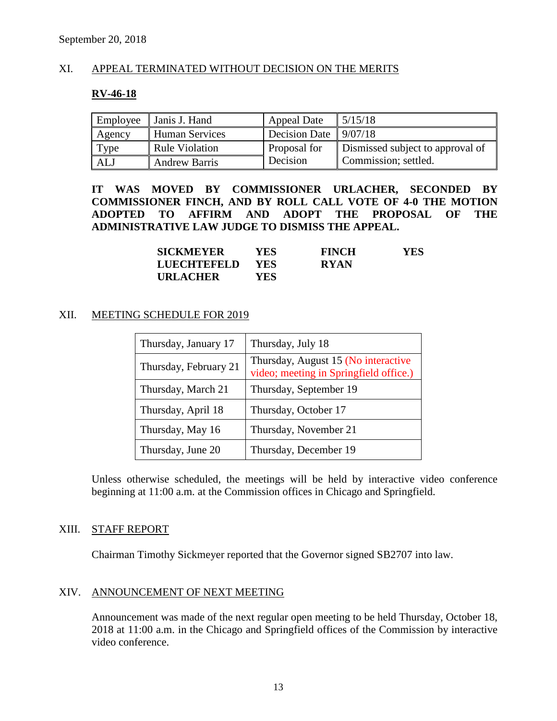## XI. APPEAL TERMINATED WITHOUT DECISION ON THE MERITS

#### **RV-46-18**

| Employee | Janis J. Hand         | <b>Appeal Date</b>               | 5/15/18                          |
|----------|-----------------------|----------------------------------|----------------------------------|
| Agency   | <b>Human Services</b> | Decision Date $\frac{9}{07}{18}$ |                                  |
| Type     | <b>Rule Violation</b> | Proposal for                     | Dismissed subject to approval of |
| ALJ      | <b>Andrew Barris</b>  | Decision                         | Commission; settled.             |

**IT WAS MOVED BY COMMISSIONER URLACHER, SECONDED BY COMMISSIONER FINCH, AND BY ROLL CALL VOTE OF 4-0 THE MOTION ADOPTED TO AFFIRM AND ADOPT THE PROPOSAL OF THE ADMINISTRATIVE LAW JUDGE TO DISMISS THE APPEAL.**

| <b>SICKMEYER</b> | YES.       | <b>FINCH</b> | YES. |
|------------------|------------|--------------|------|
| LUECHTEFELD      | <b>YES</b> | <b>RYAN</b>  |      |
| <b>URLACHER</b>  | YES.       |              |      |

#### XII. MEETING SCHEDULE FOR 2019

| Thursday, January 17  | Thursday, July 18                                                             |
|-----------------------|-------------------------------------------------------------------------------|
| Thursday, February 21 | Thursday, August 15 (No interactive<br>video; meeting in Springfield office.) |
| Thursday, March 21    | Thursday, September 19                                                        |
| Thursday, April 18    | Thursday, October 17                                                          |
| Thursday, May 16      | Thursday, November 21                                                         |
| Thursday, June 20     | Thursday, December 19                                                         |

Unless otherwise scheduled, the meetings will be held by interactive video conference beginning at 11:00 a.m. at the Commission offices in Chicago and Springfield.

#### XIII. STAFF REPORT

Chairman Timothy Sickmeyer reported that the Governor signed SB2707 into law.

#### XIV. ANNOUNCEMENT OF NEXT MEETING

Announcement was made of the next regular open meeting to be held Thursday, October 18, 2018 at 11:00 a.m. in the Chicago and Springfield offices of the Commission by interactive video conference.